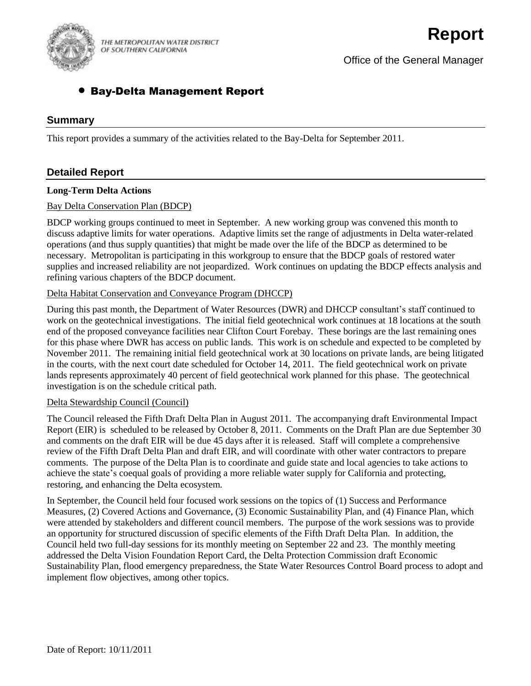

THE METROPOLITAN WATER DISTRICT OF SOUTHERN CALIFORNIA

Office of the General Manager

# Bay-Delta Management Report

## **Summary**

This report provides a summary of the activities related to the Bay-Delta for September 2011.

# **Detailed Report**

#### **Long-Term Delta Actions**

#### Bay Delta Conservation Plan (BDCP)

BDCP working groups continued to meet in September. A new working group was convened this month to discuss adaptive limits for water operations. Adaptive limits set the range of adjustments in Delta water-related operations (and thus supply quantities) that might be made over the life of the BDCP as determined to be necessary. Metropolitan is participating in this workgroup to ensure that the BDCP goals of restored water supplies and increased reliability are not jeopardized. Work continues on updating the BDCP effects analysis and refining various chapters of the BDCP document.

#### Delta Habitat Conservation and Conveyance Program (DHCCP)

During this past month, the Department of Water Resources (DWR) and DHCCP consultant's staff continued to work on the geotechnical investigations. The initial field geotechnical work continues at 18 locations at the south end of the proposed conveyance facilities near Clifton Court Forebay. These borings are the last remaining ones for this phase where DWR has access on public lands. This work is on schedule and expected to be completed by November 2011. The remaining initial field geotechnical work at 30 locations on private lands, are being litigated in the courts, with the next court date scheduled for October 14, 2011. The field geotechnical work on private lands represents approximately 40 percent of field geotechnical work planned for this phase. The geotechnical investigation is on the schedule critical path.

#### Delta Stewardship Council (Council)

The Council released the Fifth Draft Delta Plan in August 2011. The accompanying draft Environmental Impact Report (EIR) is scheduled to be released by October 8, 2011. Comments on the Draft Plan are due September 30 and comments on the draft EIR will be due 45 days after it is released. Staff will complete a comprehensive review of the Fifth Draft Delta Plan and draft EIR, and will coordinate with other water contractors to prepare comments. The purpose of the Delta Plan is to coordinate and guide state and local agencies to take actions to achieve the state's coequal goals of providing a more reliable water supply for California and protecting, restoring, and enhancing the Delta ecosystem.

In September, the Council held four focused work sessions on the topics of (1) Success and Performance Measures, (2) Covered Actions and Governance, (3) Economic Sustainability Plan, and (4) Finance Plan, which were attended by stakeholders and different council members. The purpose of the work sessions was to provide an opportunity for structured discussion of specific elements of the Fifth Draft Delta Plan. In addition, the Council held two full-day sessions for its monthly meeting on September 22 and 23. The monthly meeting addressed the Delta Vision Foundation Report Card, the Delta Protection Commission draft Economic Sustainability Plan, flood emergency preparedness, the State Water Resources Control Board process to adopt and implement flow objectives, among other topics.